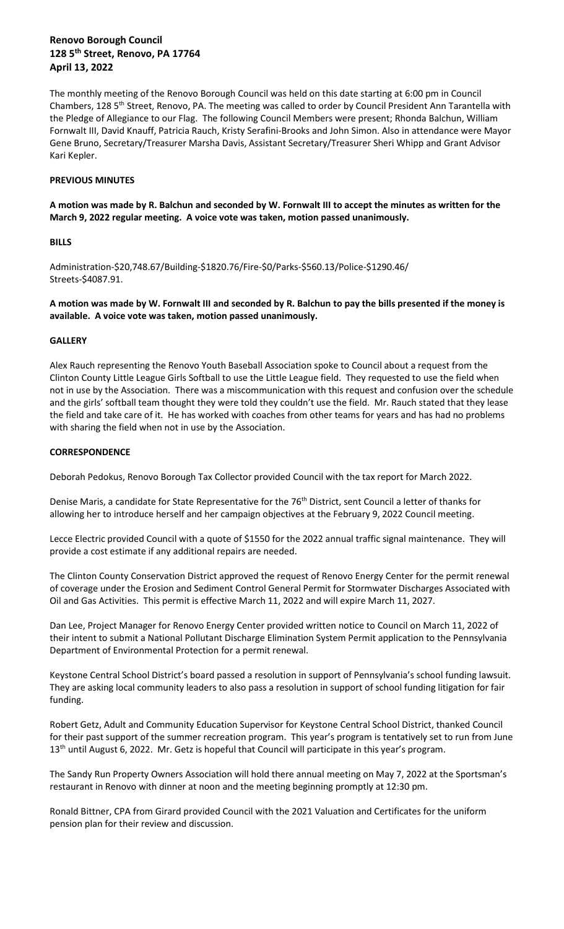The monthly meeting of the Renovo Borough Council was held on this date starting at 6:00 pm in Council Chambers, 128 5<sup>th</sup> Street, Renovo, PA. The meeting was called to order by Council President Ann Tarantella with the Pledge of Allegiance to our Flag. The following Council Members were present; Rhonda Balchun, William Fornwalt III, David Knauff, Patricia Rauch, Kristy Serafini-Brooks and John Simon. Also in attendance were Mayor Gene Bruno, Secretary/Treasurer Marsha Davis, Assistant Secretary/Treasurer Sheri Whipp and Grant Advisor Kari Kepler.

## **PREVIOUS MINUTES**

**A motion was made by R. Balchun and seconded by W. Fornwalt III to accept the minutes as written for the March 9, 2022 regular meeting. A voice vote was taken, motion passed unanimously.**

# **BILLS**

Administration-\$20,748.67/Building-\$1820.76/Fire-\$0/Parks-\$560.13/Police-\$1290.46/ Streets-\$4087.91.

**A motion was made by W. Fornwalt III and seconded by R. Balchun to pay the bills presented if the money is available. A voice vote was taken, motion passed unanimously.**

# **GALLERY**

Alex Rauch representing the Renovo Youth Baseball Association spoke to Council about a request from the Clinton County Little League Girls Softball to use the Little League field. They requested to use the field when not in use by the Association. There was a miscommunication with this request and confusion over the schedule and the girls' softball team thought they were told they couldn't use the field. Mr. Rauch stated that they lease the field and take care of it. He has worked with coaches from other teams for years and has had no problems with sharing the field when not in use by the Association.

# **CORRESPONDENCE**

Deborah Pedokus, Renovo Borough Tax Collector provided Council with the tax report for March 2022.

Denise Maris, a candidate for State Representative for the 76<sup>th</sup> District, sent Council a letter of thanks for allowing her to introduce herself and her campaign objectives at the February 9, 2022 Council meeting.

Lecce Electric provided Council with a quote of \$1550 for the 2022 annual traffic signal maintenance. They will provide a cost estimate if any additional repairs are needed.

The Clinton County Conservation District approved the request of Renovo Energy Center for the permit renewal of coverage under the Erosion and Sediment Control General Permit for Stormwater Discharges Associated with Oil and Gas Activities. This permit is effective March 11, 2022 and will expire March 11, 2027.

Dan Lee, Project Manager for Renovo Energy Center provided written notice to Council on March 11, 2022 of their intent to submit a National Pollutant Discharge Elimination System Permit application to the Pennsylvania Department of Environmental Protection for a permit renewal.

Keystone Central School District's board passed a resolution in support of Pennsylvania's school funding lawsuit. They are asking local community leaders to also pass a resolution in support of school funding litigation for fair funding.

Robert Getz, Adult and Community Education Supervisor for Keystone Central School District, thanked Council for their past support of the summer recreation program. This year's program is tentatively set to run from June 13<sup>th</sup> until August 6, 2022. Mr. Getz is hopeful that Council will participate in this year's program.

The Sandy Run Property Owners Association will hold there annual meeting on May 7, 2022 at the Sportsman's restaurant in Renovo with dinner at noon and the meeting beginning promptly at 12:30 pm.

Ronald Bittner, CPA from Girard provided Council with the 2021 Valuation and Certificates for the uniform pension plan for their review and discussion.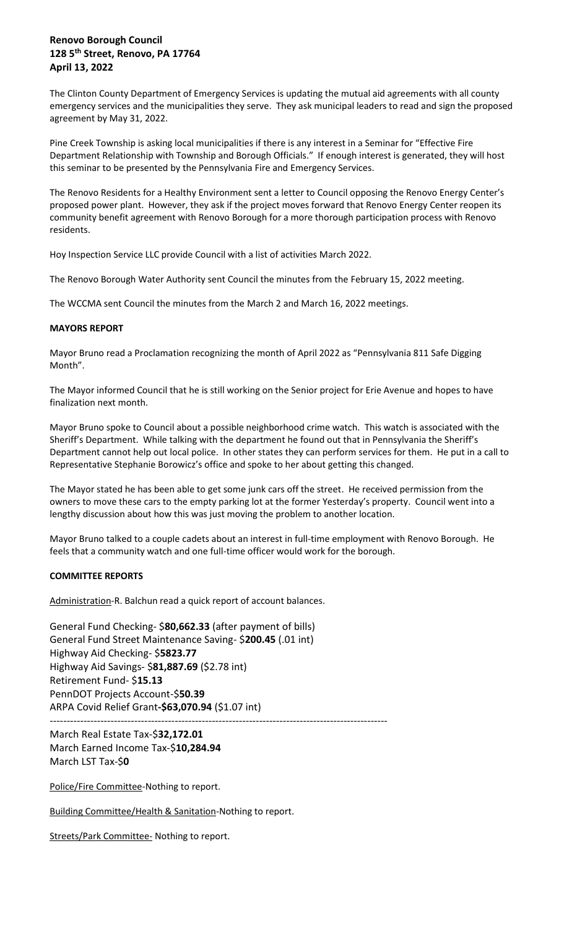The Clinton County Department of Emergency Services is updating the mutual aid agreements with all county emergency services and the municipalities they serve. They ask municipal leaders to read and sign the proposed agreement by May 31, 2022.

Pine Creek Township is asking local municipalities if there is any interest in a Seminar for "Effective Fire Department Relationship with Township and Borough Officials." If enough interest is generated, they will host this seminar to be presented by the Pennsylvania Fire and Emergency Services.

The Renovo Residents for a Healthy Environment sent a letter to Council opposing the Renovo Energy Center's proposed power plant. However, they ask if the project moves forward that Renovo Energy Center reopen its community benefit agreement with Renovo Borough for a more thorough participation process with Renovo residents.

Hoy Inspection Service LLC provide Council with a list of activities March 2022.

The Renovo Borough Water Authority sent Council the minutes from the February 15, 2022 meeting.

The WCCMA sent Council the minutes from the March 2 and March 16, 2022 meetings.

# **MAYORS REPORT**

Mayor Bruno read a Proclamation recognizing the month of April 2022 as "Pennsylvania 811 Safe Digging Month".

The Mayor informed Council that he is still working on the Senior project for Erie Avenue and hopes to have finalization next month.

Mayor Bruno spoke to Council about a possible neighborhood crime watch. This watch is associated with the Sheriff's Department. While talking with the department he found out that in Pennsylvania the Sheriff's Department cannot help out local police. In other states they can perform services for them. He put in a call to Representative Stephanie Borowicz's office and spoke to her about getting this changed.

The Mayor stated he has been able to get some junk cars off the street. He received permission from the owners to move these cars to the empty parking lot at the former Yesterday's property. Council went into a lengthy discussion about how this was just moving the problem to another location.

Mayor Bruno talked to a couple cadets about an interest in full-time employment with Renovo Borough. He feels that a community watch and one full-time officer would work for the borough.

# **COMMITTEE REPORTS**

Administration-R. Balchun read a quick report of account balances.

General Fund Checking- \$**80,662.33** (after payment of bills) General Fund Street Maintenance Saving- \$**200.45** (.01 int) Highway Aid Checking- \$**5823.77**  Highway Aid Savings- \$**81,887.69** (\$2.78 int) Retirement Fund- \$**15.13**  PennDOT Projects Account-\$**50.39**  ARPA Covid Relief Grant**-\$63,070.94** (\$1.07 int) ----------------------------------------------------------------------------------------------------

March Real Estate Tax-\$**32,172.01** March Earned Income Tax-\$**10,284.94** March LST Tax-\$**0**

Police/Fire Committee-Nothing to report.

Building Committee/Health & Sanitation-Nothing to report.

Streets/Park Committee- Nothing to report.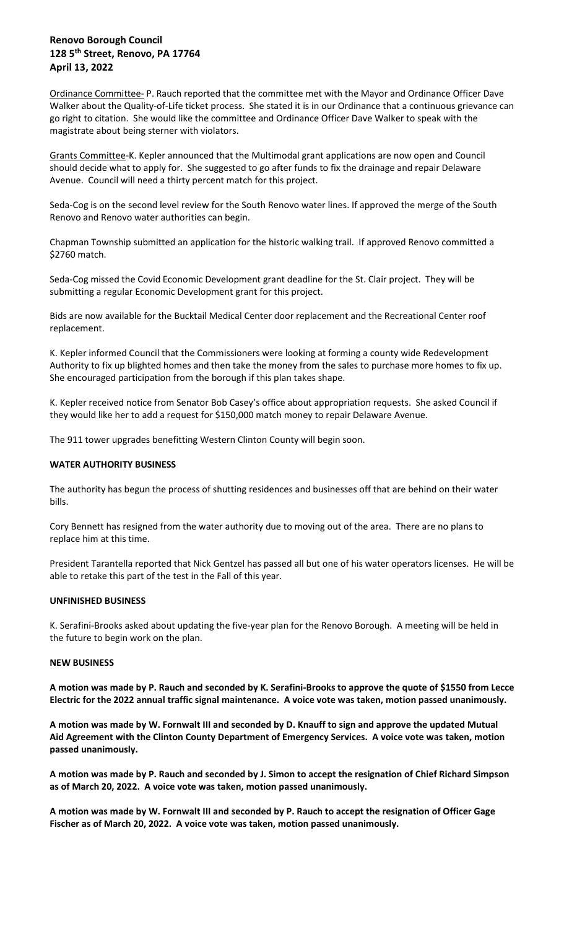Ordinance Committee- P. Rauch reported that the committee met with the Mayor and Ordinance Officer Dave Walker about the Quality-of-Life ticket process. She stated it is in our Ordinance that a continuous grievance can go right to citation. She would like the committee and Ordinance Officer Dave Walker to speak with the magistrate about being sterner with violators.

Grants Committee-K. Kepler announced that the Multimodal grant applications are now open and Council should decide what to apply for. She suggested to go after funds to fix the drainage and repair Delaware Avenue. Council will need a thirty percent match for this project.

Seda-Cog is on the second level review for the South Renovo water lines. If approved the merge of the South Renovo and Renovo water authorities can begin.

Chapman Township submitted an application for the historic walking trail. If approved Renovo committed a \$2760 match.

Seda-Cog missed the Covid Economic Development grant deadline for the St. Clair project. They will be submitting a regular Economic Development grant for this project.

Bids are now available for the Bucktail Medical Center door replacement and the Recreational Center roof replacement.

K. Kepler informed Council that the Commissioners were looking at forming a county wide Redevelopment Authority to fix up blighted homes and then take the money from the sales to purchase more homes to fix up. She encouraged participation from the borough if this plan takes shape.

K. Kepler received notice from Senator Bob Casey's office about appropriation requests. She asked Council if they would like her to add a request for \$150,000 match money to repair Delaware Avenue.

The 911 tower upgrades benefitting Western Clinton County will begin soon.

## **WATER AUTHORITY BUSINESS**

The authority has begun the process of shutting residences and businesses off that are behind on their water bills.

Cory Bennett has resigned from the water authority due to moving out of the area. There are no plans to replace him at this time.

President Tarantella reported that Nick Gentzel has passed all but one of his water operators licenses. He will be able to retake this part of the test in the Fall of this year.

#### **UNFINISHED BUSINESS**

K. Serafini-Brooks asked about updating the five-year plan for the Renovo Borough. A meeting will be held in the future to begin work on the plan.

#### **NEW BUSINESS**

**A motion was made by P. Rauch and seconded by K. Serafini-Brooks to approve the quote of \$1550 from Lecce Electric for the 2022 annual traffic signal maintenance. A voice vote was taken, motion passed unanimously.**

**A motion was made by W. Fornwalt III and seconded by D. Knauff to sign and approve the updated Mutual Aid Agreement with the Clinton County Department of Emergency Services. A voice vote was taken, motion passed unanimously.**

**A motion was made by P. Rauch and seconded by J. Simon to accept the resignation of Chief Richard Simpson as of March 20, 2022. A voice vote was taken, motion passed unanimously.**

**A motion was made by W. Fornwalt III and seconded by P. Rauch to accept the resignation of Officer Gage Fischer as of March 20, 2022. A voice vote was taken, motion passed unanimously.**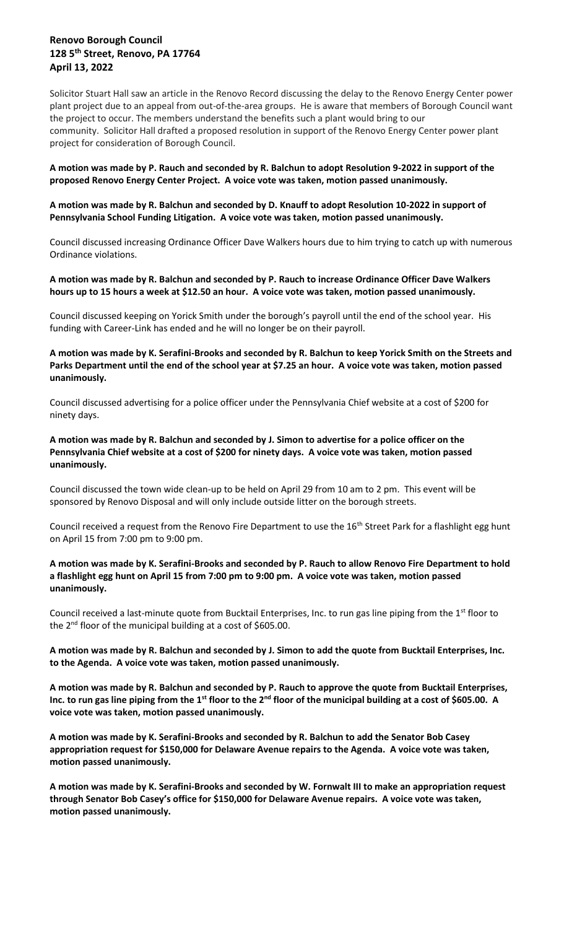Solicitor Stuart Hall saw an article in the Renovo Record discussing the delay to the Renovo Energy Center power plant project due to an appeal from out-of-the-area groups. He is aware that members of Borough Council want the project to occur. The members understand the benefits such a plant would bring to our community. Solicitor Hall drafted a proposed resolution in support of the Renovo Energy Center power plant project for consideration of Borough Council.

### **A motion was made by P. Rauch and seconded by R. Balchun to adopt Resolution 9-2022 in support of the proposed Renovo Energy Center Project. A voice vote was taken, motion passed unanimously.**

### **A motion was made by R. Balchun and seconded by D. Knauff to adopt Resolution 10-2022 in support of Pennsylvania School Funding Litigation. A voice vote was taken, motion passed unanimously.**

Council discussed increasing Ordinance Officer Dave Walkers hours due to him trying to catch up with numerous Ordinance violations.

### **A motion was made by R. Balchun and seconded by P. Rauch to increase Ordinance Officer Dave Walkers hours up to 15 hours a week at \$12.50 an hour. A voice vote was taken, motion passed unanimously.**

Council discussed keeping on Yorick Smith under the borough's payroll until the end of the school year. His funding with Career-Link has ended and he will no longer be on their payroll.

# **A motion was made by K. Serafini-Brooks and seconded by R. Balchun to keep Yorick Smith on the Streets and Parks Department until the end of the school year at \$7.25 an hour. A voice vote was taken, motion passed unanimously.**

Council discussed advertising for a police officer under the Pennsylvania Chief website at a cost of \$200 for ninety days.

# **A motion was made by R. Balchun and seconded by J. Simon to advertise for a police officer on the Pennsylvania Chief website at a cost of \$200 for ninety days. A voice vote was taken, motion passed unanimously.**

Council discussed the town wide clean-up to be held on April 29 from 10 am to 2 pm. This event will be sponsored by Renovo Disposal and will only include outside litter on the borough streets.

Council received a request from the Renovo Fire Department to use the 16<sup>th</sup> Street Park for a flashlight egg hunt on April 15 from 7:00 pm to 9:00 pm.

## **A motion was made by K. Serafini-Brooks and seconded by P. Rauch to allow Renovo Fire Department to hold a flashlight egg hunt on April 15 from 7:00 pm to 9:00 pm. A voice vote was taken, motion passed unanimously.**

Council received a last-minute quote from Bucktail Enterprises, Inc. to run gas line piping from the 1<sup>st</sup> floor to the 2<sup>nd</sup> floor of the municipal building at a cost of \$605.00.

# **A motion was made by R. Balchun and seconded by J. Simon to add the quote from Bucktail Enterprises, Inc. to the Agenda. A voice vote was taken, motion passed unanimously.**

**A motion was made by R. Balchun and seconded by P. Rauch to approve the quote from Bucktail Enterprises, Inc. to run gas line piping from the 1st floor to the 2nd floor of the municipal building at a cost of \$605.00. A voice vote was taken, motion passed unanimously.**

**A motion was made by K. Serafini-Brooks and seconded by R. Balchun to add the Senator Bob Casey appropriation request for \$150,000 for Delaware Avenue repairs to the Agenda. A voice vote was taken, motion passed unanimously.**

**A motion was made by K. Serafini-Brooks and seconded by W. Fornwalt III to make an appropriation request through Senator Bob Casey's office for \$150,000 for Delaware Avenue repairs. A voice vote was taken, motion passed unanimously.**